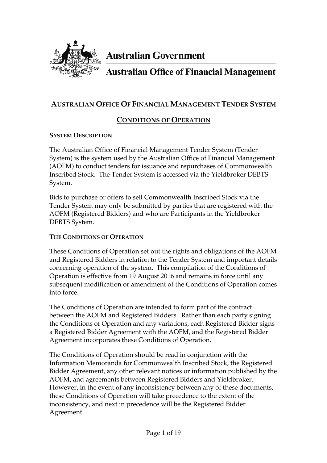

# **Australian Government**

# **Australian Office of Financial Management**

# **AUSTRALIAN OFFICE OF FINANCIAL MANAGEMENT TENDER SYSTEM**

# **CONDITIONS OF OPERATION**

#### **SYSTEM DESCRIPTION**

The Australian Office of Financial Management Tender System (Tender System) is the system used by the Australian Office of Financial Management (AOFM) to conduct tenders for issuance and repurchases of Commonwealth Inscribed Stock. The Tender System is accessed via the Yieldbroker DEBTS System.

Bids to purchase or offers to sell Commonwealth Inscribed Stock via the Tender System may only be submitted by parties that are registered with the AOFM (Registered Bidders) and who are Participants in the Yieldbroker DEBTS System.

#### **THE CONDITIONS OF OPERATION**

These Conditions of Operation set out the rights and obligations of the AOFM and Registered Bidders in relation to the Tender System and important details concerning operation of the system. This compilation of the Conditions of Operation is effective from 19 August 2016 and remains in force until any subsequent modification or amendment of the Conditions of Operation comes into force.

The Conditions of Operation are intended to form part of the contract between the AOFM and Registered Bidders. Rather than each party signing the Conditions of Operation and any variations, each Registered Bidder signs a Registered Bidder Agreement with the AOFM, and the Registered Bidder Agreement incorporates these Conditions of Operation.

The Conditions of Operation should be read in conjunction with the Information Memoranda for Commonwealth Inscribed Stock, the Registered Bidder Agreement, any other relevant notices or information published by the AOFM, and agreements between Registered Bidders and Yieldbroker. However, in the event of any inconsistency between any of these documents, these Conditions of Operation will take precedence to the extent of the inconsistency, and next in precedence will be the Registered Bidder Agreement.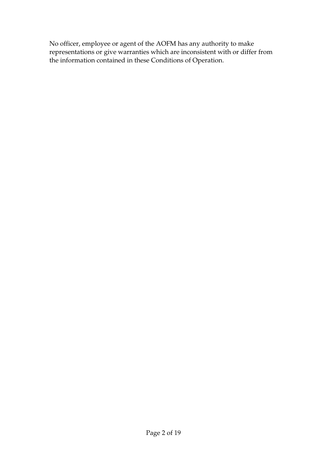No officer, employee or agent of the AOFM has any authority to make representations or give warranties which are inconsistent with or differ from the information contained in these Conditions of Operation.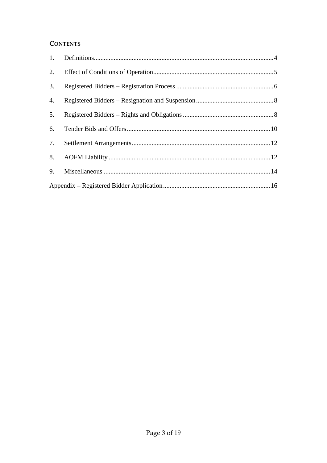#### **CONTENTS**

| 2. |  |
|----|--|
| 3. |  |
| 4. |  |
| 5. |  |
| 6. |  |
| 7. |  |
| 8. |  |
| 9. |  |
|    |  |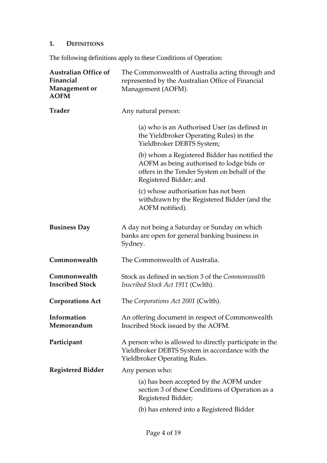# **1. DEFINITIONS**

The following definitions apply to these Conditions of Operation:

| <b>Australian Office of</b><br>Financial<br><b>Management or</b><br><b>AOFM</b> | The Commonwealth of Australia acting through and<br>represented by the Australian Office of Financial<br>Management (AOFM).                                          |
|---------------------------------------------------------------------------------|----------------------------------------------------------------------------------------------------------------------------------------------------------------------|
| <b>Trader</b>                                                                   | Any natural person:                                                                                                                                                  |
|                                                                                 | (a) who is an Authorised User (as defined in<br>the Yieldbroker Operating Rules) in the<br>Yieldbroker DEBTS System;                                                 |
|                                                                                 | (b) whom a Registered Bidder has notified the<br>AOFM as being authorised to lodge bids or<br>offers in the Tender System on behalf of the<br>Registered Bidder; and |
|                                                                                 | (c) whose authorisation has not been<br>withdrawn by the Registered Bidder (and the<br>AOFM notified).                                                               |
| <b>Business Day</b>                                                             | A day not being a Saturday or Sunday on which<br>banks are open for general banking business in<br>Sydney.                                                           |
| Commonwealth                                                                    | The Commonwealth of Australia.                                                                                                                                       |
| Commonwealth<br><b>Inscribed Stock</b>                                          | Stock as defined in section 3 of the Commonwealth<br>Inscribed Stock Act 1911 (Cwlth).                                                                               |
| <b>Corporations Act</b>                                                         | The Corporations Act 2001 (Cwlth).                                                                                                                                   |
| Information<br>Memorandum                                                       | An offering document in respect of Commonwealth<br>Inscribed Stock issued by the AOFM.                                                                               |
| Participant                                                                     | A person who is allowed to directly participate in the<br>Yieldbroker DEBTS System in accordance with the<br>Yieldbroker Operating Rules.                            |
| <b>Registered Bidder</b>                                                        | Any person who:                                                                                                                                                      |
|                                                                                 | (a) has been accepted by the AOFM under<br>section 3 of these Conditions of Operation as a<br>Registered Bidder;                                                     |
|                                                                                 | (b) has entered into a Registered Bidder                                                                                                                             |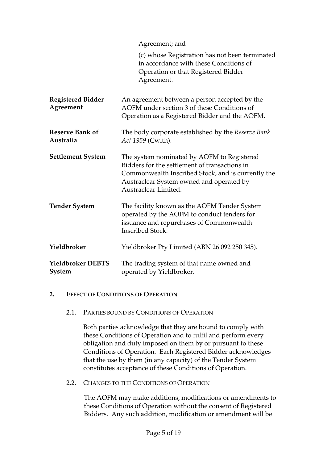| Agreement; and |
|----------------|
|----------------|

| (c) whose Registration has not been terminated |
|------------------------------------------------|
| in accordance with these Conditions of         |
| Operation or that Registered Bidder            |
| Agreement.                                     |

- **Registered Bidder Agreement**  An agreement between a person accepted by the AOFM under section 3 of these Conditions of Operation as a Registered Bidder and the AOFM. **Reserve Bank of Australia**  The body corporate established by the *Reserve Bank Act 1959* (Cwlth). **Settlement System** The system nominated by AOFM to Registered Bidders for the settlement of transactions in
	- Commonwealth Inscribed Stock, and is currently the Austraclear System owned and operated by Austraclear Limited.
- **Tender System** The facility known as the AOFM Tender System operated by the AOFM to conduct tenders for issuance and repurchases of Commonwealth Inscribed Stock. **Yieldbroker** Yieldbroker Pty Limited (ABN 26 092 250 345).

#### **Yieldbroker DEBTS System**  The trading system of that name owned and operated by Yieldbroker.

#### **2. EFFECT OF CONDITIONS OF OPERATION**

#### 2.1. PARTIES BOUND BY CONDITIONS OF OPERATION

Both parties acknowledge that they are bound to comply with these Conditions of Operation and to fulfil and perform every obligation and duty imposed on them by or pursuant to these Conditions of Operation. Each Registered Bidder acknowledges that the use by them (in any capacity) of the Tender System constitutes acceptance of these Conditions of Operation.

2.2. CHANGES TO THE CONDITIONS OF OPERATION

The AOFM may make additions, modifications or amendments to these Conditions of Operation without the consent of Registered Bidders. Any such addition, modification or amendment will be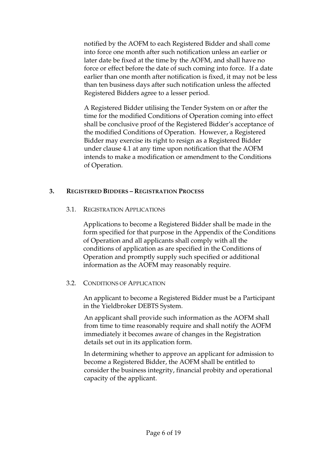notified by the AOFM to each Registered Bidder and shall come into force one month after such notification unless an earlier or later date be fixed at the time by the AOFM, and shall have no force or effect before the date of such coming into force. If a date earlier than one month after notification is fixed, it may not be less than ten business days after such notification unless the affected Registered Bidders agree to a lesser period.

A Registered Bidder utilising the Tender System on or after the time for the modified Conditions of Operation coming into effect shall be conclusive proof of the Registered Bidder's acceptance of the modified Conditions of Operation. However, a Registered Bidder may exercise its right to resign as a Registered Bidder under clause 4.1 at any time upon notification that the AOFM intends to make a modification or amendment to the Conditions of Operation.

# **3. REGISTERED BIDDERS – REGISTRATION PROCESS**

#### 3.1. REGISTRATION APPLICATIONS

Applications to become a Registered Bidder shall be made in the form specified for that purpose in the Appendix of the Conditions of Operation and all applicants shall comply with all the conditions of application as are specified in the Conditions of Operation and promptly supply such specified or additional information as the AOFM may reasonably require.

#### 3.2. CONDITIONS OF APPLICATION

An applicant to become a Registered Bidder must be a Participant in the Yieldbroker DEBTS System.

An applicant shall provide such information as the AOFM shall from time to time reasonably require and shall notify the AOFM immediately it becomes aware of changes in the Registration details set out in its application form.

In determining whether to approve an applicant for admission to become a Registered Bidder, the AOFM shall be entitled to consider the business integrity, financial probity and operational capacity of the applicant.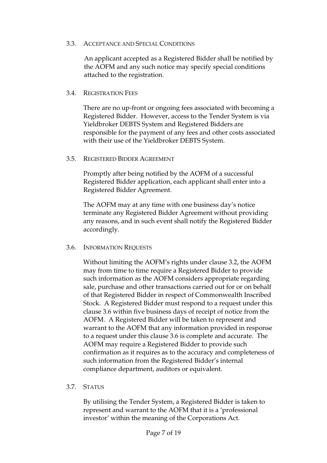#### 3.3. ACCEPTANCE AND SPECIAL CONDITIONS

An applicant accepted as a Registered Bidder shall be notified by the AOFM and any such notice may specify special conditions attached to the registration.

#### 3.4. REGISTRATION FEES

There are no up-front or ongoing fees associated with becoming a Registered Bidder. However, access to the Tender System is via Yieldbroker DEBTS System and Registered Bidders are responsible for the payment of any fees and other costs associated with their use of the Yieldbroker DEBTS System.

#### 3.5. REGISTERED BIDDER AGREEMENT

Promptly after being notified by the AOFM of a successful Registered Bidder application, each applicant shall enter into a Registered Bidder Agreement.

The AOFM may at any time with one business day's notice terminate any Registered Bidder Agreement without providing any reasons, and in such event shall notify the Registered Bidder accordingly.

#### 3.6. INFORMATION REQUESTS

Without limiting the AOFM's rights under clause 3.2, the AOFM may from time to time require a Registered Bidder to provide such information as the AOFM considers appropriate regarding sale, purchase and other transactions carried out for or on behalf of that Registered Bidder in respect of Commonwealth Inscribed Stock. A Registered Bidder must respond to a request under this clause 3.6 within five business days of receipt of notice from the AOFM. A Registered Bidder will be taken to represent and warrant to the AOFM that any information provided in response to a request under this clause 3.6 is complete and accurate. The AOFM may require a Registered Bidder to provide such confirmation as it requires as to the accuracy and completeness of such information from the Registered Bidder's internal compliance department, auditors or equivalent.

#### 3.7. STATUS

By utilising the Tender System, a Registered Bidder is taken to represent and warrant to the AOFM that it is a 'professional investor' within the meaning of the Corporations Act.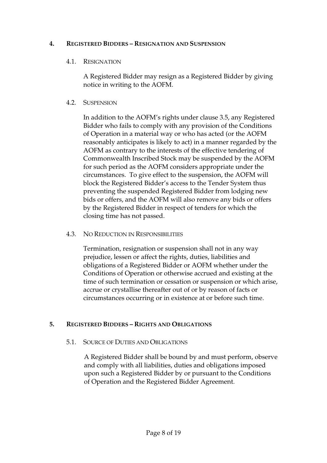#### **4. REGISTERED BIDDERS – RESIGNATION AND SUSPENSION**

#### 4.1. RESIGNATION

A Registered Bidder may resign as a Registered Bidder by giving notice in writing to the AOFM.

#### 4.2. SUSPENSION

In addition to the AOFM's rights under clause 3.5, any Registered Bidder who fails to comply with any provision of the Conditions of Operation in a material way or who has acted (or the AOFM reasonably anticipates is likely to act) in a manner regarded by the AOFM as contrary to the interests of the effective tendering of Commonwealth Inscribed Stock may be suspended by the AOFM for such period as the AOFM considers appropriate under the circumstances. To give effect to the suspension, the AOFM will block the Registered Bidder's access to the Tender System thus preventing the suspended Registered Bidder from lodging new bids or offers, and the AOFM will also remove any bids or offers by the Registered Bidder in respect of tenders for which the closing time has not passed.

#### 4.3. NO REDUCTION IN RESPONSIBILITIES

Termination, resignation or suspension shall not in any way prejudice, lessen or affect the rights, duties, liabilities and obligations of a Registered Bidder or AOFM whether under the Conditions of Operation or otherwise accrued and existing at the time of such termination or cessation or suspension or which arise, accrue or crystallise thereafter out of or by reason of facts or circumstances occurring or in existence at or before such time.

#### **5. REGISTERED BIDDERS – RIGHTS AND OBLIGATIONS**

#### 5.1. SOURCE OF DUTIES AND OBLIGATIONS

A Registered Bidder shall be bound by and must perform, observe and comply with all liabilities, duties and obligations imposed upon such a Registered Bidder by or pursuant to the Conditions of Operation and the Registered Bidder Agreement.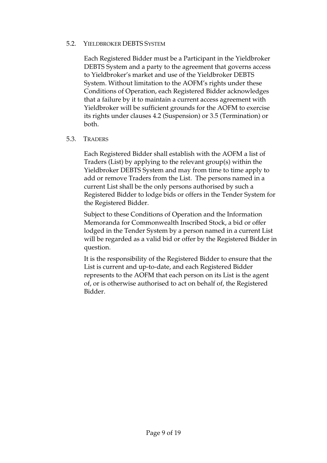#### 5.2. YIELDBROKER DEBTS SYSTEM

Each Registered Bidder must be a Participant in the Yieldbroker DEBTS System and a party to the agreement that governs access to Yieldbroker's market and use of the Yieldbroker DEBTS System. Without limitation to the AOFM's rights under these Conditions of Operation, each Registered Bidder acknowledges that a failure by it to maintain a current access agreement with Yieldbroker will be sufficient grounds for the AOFM to exercise its rights under clauses 4.2 (Suspension) or 3.5 (Termination) or both.

#### 5.3. TRADERS

Each Registered Bidder shall establish with the AOFM a list of Traders (List) by applying to the relevant group(s) within the Yieldbroker DEBTS System and may from time to time apply to add or remove Traders from the List. The persons named in a current List shall be the only persons authorised by such a Registered Bidder to lodge bids or offers in the Tender System for the Registered Bidder.

Subject to these Conditions of Operation and the Information Memoranda for Commonwealth Inscribed Stock, a bid or offer lodged in the Tender System by a person named in a current List will be regarded as a valid bid or offer by the Registered Bidder in question.

It is the responsibility of the Registered Bidder to ensure that the List is current and up-to-date, and each Registered Bidder represents to the AOFM that each person on its List is the agent of, or is otherwise authorised to act on behalf of, the Registered Bidder.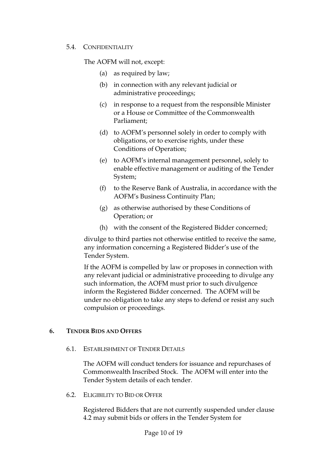#### 5.4. CONFIDENTIALITY

The AOFM will not, except:

- (a) as required by law;
- (b) in connection with any relevant judicial or administrative proceedings;
- (c) in response to a request from the responsible Minister or a House or Committee of the Commonwealth Parliament;
- (d) to AOFM's personnel solely in order to comply with obligations, or to exercise rights, under these Conditions of Operation;
- (e) to AOFM's internal management personnel, solely to enable effective management or auditing of the Tender System;
- (f) to the Reserve Bank of Australia, in accordance with the AOFM's Business Continuity Plan;
- (g) as otherwise authorised by these Conditions of Operation; or
- (h) with the consent of the Registered Bidder concerned;

divulge to third parties not otherwise entitled to receive the same, any information concerning a Registered Bidder's use of the Tender System.

If the AOFM is compelled by law or proposes in connection with any relevant judicial or administrative proceeding to divulge any such information, the AOFM must prior to such divulgence inform the Registered Bidder concerned. The AOFM will be under no obligation to take any steps to defend or resist any such compulsion or proceedings.

#### **6. TENDER BIDS AND OFFERS**

6.1. ESTABLISHMENT OF TENDER DETAILS

The AOFM will conduct tenders for issuance and repurchases of Commonwealth Inscribed Stock. The AOFM will enter into the Tender System details of each tender.

6.2. ELIGIBILITY TO BID OR OFFER

Registered Bidders that are not currently suspended under clause 4.2 may submit bids or offers in the Tender System for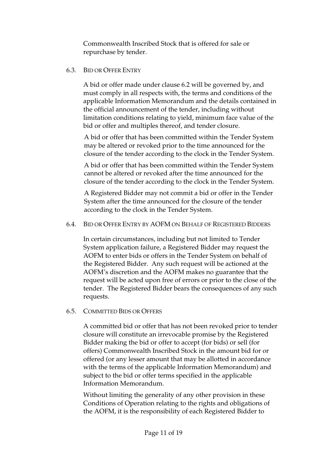Commonwealth Inscribed Stock that is offered for sale or repurchase by tender.

#### 6.3. BID OR OFFER ENTRY

A bid or offer made under clause 6.2 will be governed by, and must comply in all respects with, the terms and conditions of the applicable Information Memorandum and the details contained in the official announcement of the tender, including without limitation conditions relating to yield, minimum face value of the bid or offer and multiples thereof, and tender closure.

A bid or offer that has been committed within the Tender System may be altered or revoked prior to the time announced for the closure of the tender according to the clock in the Tender System.

A bid or offer that has been committed within the Tender System cannot be altered or revoked after the time announced for the closure of the tender according to the clock in the Tender System.

A Registered Bidder may not commit a bid or offer in the Tender System after the time announced for the closure of the tender according to the clock in the Tender System.

#### 6.4. BID OR OFFER ENTRY BY AOFM ON BEHALF OF REGISTERED BIDDERS

In certain circumstances, including but not limited to Tender System application failure, a Registered Bidder may request the AOFM to enter bids or offers in the Tender System on behalf of the Registered Bidder. Any such request will be actioned at the AOFM's discretion and the AOFM makes no guarantee that the request will be acted upon free of errors or prior to the close of the tender. The Registered Bidder bears the consequences of any such requests.

#### 6.5. COMMITTED BIDS OR OFFERS

A committed bid or offer that has not been revoked prior to tender closure will constitute an irrevocable promise by the Registered Bidder making the bid or offer to accept (for bids) or sell (for offers) Commonwealth Inscribed Stock in the amount bid for or offered (or any lesser amount that may be allotted in accordance with the terms of the applicable Information Memorandum) and subject to the bid or offer terms specified in the applicable Information Memorandum.

Without limiting the generality of any other provision in these Conditions of Operation relating to the rights and obligations of the AOFM, it is the responsibility of each Registered Bidder to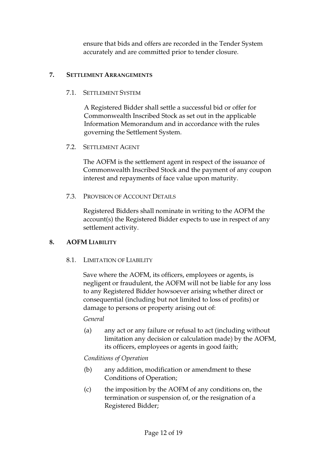ensure that bids and offers are recorded in the Tender System accurately and are committed prior to tender closure.

#### **7. SETTLEMENT ARRANGEMENTS**

#### 7.1. SETTLEMENT SYSTEM

A Registered Bidder shall settle a successful bid or offer for Commonwealth Inscribed Stock as set out in the applicable Information Memorandum and in accordance with the rules governing the Settlement System.

#### 7.2. SETTLEMENT AGENT

The AOFM is the settlement agent in respect of the issuance of Commonwealth Inscribed Stock and the payment of any coupon interest and repayments of face value upon maturity.

7.3. PROVISION OF ACCOUNT DETAILS

Registered Bidders shall nominate in writing to the AOFM the account(s) the Registered Bidder expects to use in respect of any settlement activity.

#### **8. AOFM LIABILITY**

#### 8.1. LIMITATION OF LIABILITY

Save where the AOFM, its officers, employees or agents, is negligent or fraudulent, the AOFM will not be liable for any loss to any Registered Bidder howsoever arising whether direct or consequential (including but not limited to loss of profits) or damage to persons or property arising out of:

#### *General*

(a) any act or any failure or refusal to act (including without limitation any decision or calculation made) by the AOFM, its officers, employees or agents in good faith;

#### *Conditions of Operation*

- (b) any addition, modification or amendment to these Conditions of Operation;
- (c) the imposition by the AOFM of any conditions on, the termination or suspension of, or the resignation of a Registered Bidder;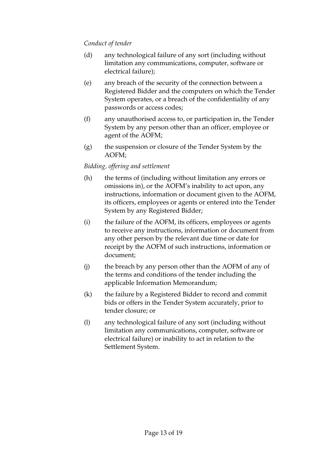### *Conduct of tender*

- (d) any technological failure of any sort (including without limitation any communications, computer, software or electrical failure);
- (e) any breach of the security of the connection between a Registered Bidder and the computers on which the Tender System operates, or a breach of the confidentiality of any passwords or access codes;
- (f) any unauthorised access to, or participation in, the Tender System by any person other than an officer, employee or agent of the AOFM;
- (g) the suspension or closure of the Tender System by the AOFM;

# *Bidding, offering and settlement*

- (h) the terms of (including without limitation any errors or omissions in), or the AOFM's inability to act upon, any instructions, information or document given to the AOFM, its officers, employees or agents or entered into the Tender System by any Registered Bidder;
- (i) the failure of the AOFM, its officers, employees or agents to receive any instructions, information or document from any other person by the relevant due time or date for receipt by the AOFM of such instructions, information or document;
- (j) the breach by any person other than the AOFM of any of the terms and conditions of the tender including the applicable Information Memorandum;
- (k) the failure by a Registered Bidder to record and commit bids or offers in the Tender System accurately, prior to tender closure; or
- (l) any technological failure of any sort (including without limitation any communications, computer, software or electrical failure) or inability to act in relation to the Settlement System.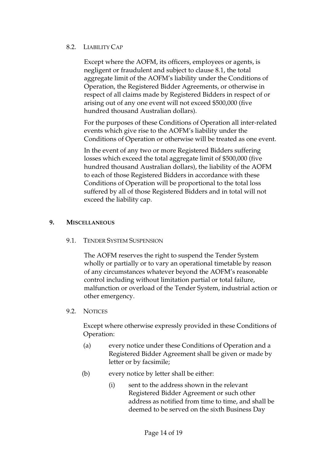#### 8.2. LIABILITY CAP

Except where the AOFM, its officers, employees or agents, is negligent or fraudulent and subject to clause 8.1, the total aggregate limit of the AOFM's liability under the Conditions of Operation, the Registered Bidder Agreements, or otherwise in respect of all claims made by Registered Bidders in respect of or arising out of any one event will not exceed \$500,000 (five hundred thousand Australian dollars).

For the purposes of these Conditions of Operation all inter-related events which give rise to the AOFM's liability under the Conditions of Operation or otherwise will be treated as one event.

In the event of any two or more Registered Bidders suffering losses which exceed the total aggregate limit of \$500,000 (five hundred thousand Australian dollars), the liability of the AOFM to each of those Registered Bidders in accordance with these Conditions of Operation will be proportional to the total loss suffered by all of those Registered Bidders and in total will not exceed the liability cap.

#### **9. MISCELLANEOUS**

9.1. TENDER SYSTEM SUSPENSION

The AOFM reserves the right to suspend the Tender System wholly or partially or to vary an operational timetable by reason of any circumstances whatever beyond the AOFM's reasonable control including without limitation partial or total failure, malfunction or overload of the Tender System, industrial action or other emergency.

9.2. NOTICES

Except where otherwise expressly provided in these Conditions of Operation:

- (a) every notice under these Conditions of Operation and a Registered Bidder Agreement shall be given or made by letter or by facsimile;
- (b) every notice by letter shall be either:
	- (i) sent to the address shown in the relevant Registered Bidder Agreement or such other address as notified from time to time, and shall be deemed to be served on the sixth Business Day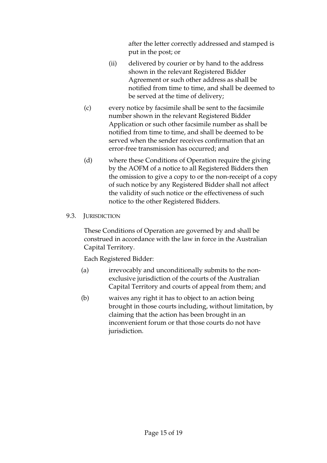after the letter correctly addressed and stamped is put in the post; or

- (ii) delivered by courier or by hand to the address shown in the relevant Registered Bidder Agreement or such other address as shall be notified from time to time, and shall be deemed to be served at the time of delivery;
- (c) every notice by facsimile shall be sent to the facsimile number shown in the relevant Registered Bidder Application or such other facsimile number as shall be notified from time to time, and shall be deemed to be served when the sender receives confirmation that an error-free transmission has occurred; and
- (d) where these Conditions of Operation require the giving by the AOFM of a notice to all Registered Bidders then the omission to give a copy to or the non-receipt of a copy of such notice by any Registered Bidder shall not affect the validity of such notice or the effectiveness of such notice to the other Registered Bidders.

# 9.3. JURISDICTION

These Conditions of Operation are governed by and shall be construed in accordance with the law in force in the Australian Capital Territory.

Each Registered Bidder:

- (a) irrevocably and unconditionally submits to the nonexclusive jurisdiction of the courts of the Australian Capital Territory and courts of appeal from them; and
- (b) waives any right it has to object to an action being brought in those courts including, without limitation, by claiming that the action has been brought in an inconvenient forum or that those courts do not have jurisdiction.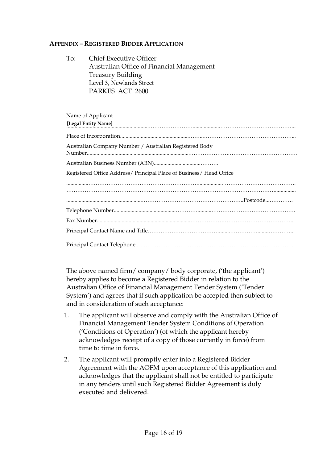#### **APPENDIX – REGISTERED BIDDER APPLICATION**

| To:               | <b>Chief Executive Officer</b><br>Australian Office of Financial Management |
|-------------------|-----------------------------------------------------------------------------|
|                   | <b>Treasury Building</b>                                                    |
|                   | Level 3, Newlands Street                                                    |
|                   | PARKES ACT 2600                                                             |
|                   |                                                                             |
|                   |                                                                             |
| Name of Applicant |                                                                             |
|                   | [Legal Entity Name]                                                         |
|                   |                                                                             |
|                   | Australian Company Number / Australian Registered Body                      |
|                   |                                                                             |
|                   | Registered Office Address/ Principal Place of Business/ Head Office         |
|                   |                                                                             |
|                   |                                                                             |
|                   |                                                                             |
|                   |                                                                             |
|                   |                                                                             |
|                   |                                                                             |
|                   |                                                                             |

The above named firm/ company/ body corporate, ('the applicant') hereby applies to become a Registered Bidder in relation to the Australian Office of Financial Management Tender System ('Tender System') and agrees that if such application be accepted then subject to and in consideration of such acceptance:

- 1. The applicant will observe and comply with the Australian Office of Financial Management Tender System Conditions of Operation ('Conditions of Operation') (of which the applicant hereby acknowledges receipt of a copy of those currently in force) from time to time in force.
- 2. The applicant will promptly enter into a Registered Bidder Agreement with the AOFM upon acceptance of this application and acknowledges that the applicant shall not be entitled to participate in any tenders until such Registered Bidder Agreement is duly executed and delivered.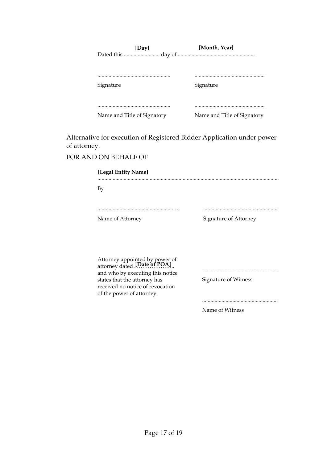| [Day]                       | [Month, Year]               |
|-----------------------------|-----------------------------|
|                             |                             |
|                             |                             |
| Signature                   | Signature                   |
|                             |                             |
|                             |                             |
| Name and Title of Signatory | Name and Title of Signatory |

Alternative for execution of Registered Bidder Application under power of attorney.

#### FOR AND ON BEHALF OF

.................................................................................................................................... By

Name of Attorney Signature of Attorney

.......................................................…. ......................................................

Attorney appointed by power of attorney dated.<sup>[Date of POA]</sup>... and who by executing this notice states that the attorney has received no notice of revocation of the power of attorney.

Signature of Witness

.......................................................

.......................................................

Name of Witness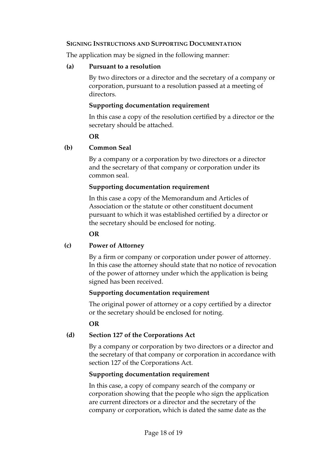#### **SIGNING INSTRUCTIONS AND SUPPORTING DOCUMENTATION**

The application may be signed in the following manner:

#### **(a) Pursuant to a resolution**

By two directors or a director and the secretary of a company or corporation, pursuant to a resolution passed at a meeting of directors.

### **Supporting documentation requirement**

In this case a copy of the resolution certified by a director or the secretary should be attached.

# **OR**

# **(b) Common Seal**

By a company or a corporation by two directors or a director and the secretary of that company or corporation under its common seal.

# **Supporting documentation requirement**

In this case a copy of the Memorandum and Articles of Association or the statute or other constituent document pursuant to which it was established certified by a director or the secretary should be enclosed for noting.

# **OR**

# **(c) Power of Attorney**

By a firm or company or corporation under power of attorney. In this case the attorney should state that no notice of revocation of the power of attorney under which the application is being signed has been received.

#### **Supporting documentation requirement**

The original power of attorney or a copy certified by a director or the secretary should be enclosed for noting.

#### **OR**

# **(d) Section 127 of the Corporations Act**

By a company or corporation by two directors or a director and the secretary of that company or corporation in accordance with section 127 of the Corporations Act.

# **Supporting documentation requirement**

In this case, a copy of company search of the company or corporation showing that the people who sign the application are current directors or a director and the secretary of the company or corporation, which is dated the same date as the